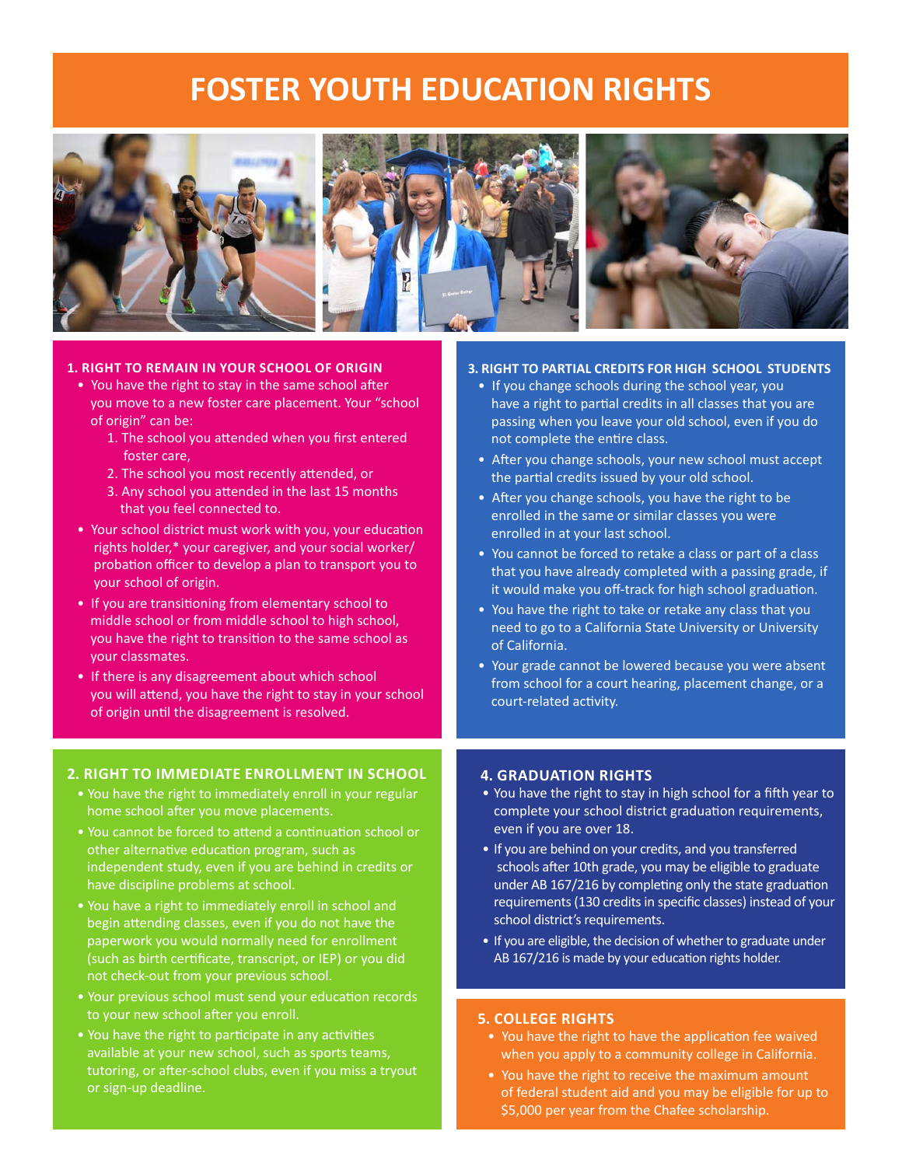# **FOSTER YOUTH EDUCATION RIGHTS**



#### **1. RIGHT TO REMAIN IN YOUR SCHOOL OF ORIGIN**

- You have the right to stay in the same school after you move to a new foster care placement. Your "school of origin" can be:
	- 1. The school you attended when you first entered foster care,
	- 2. The school you most recently attended, or
	- 3. Any school you attended in the last 15 months that you feel connected to.
- Your school district must work with you, your education rights holder,\* your caregiver, and your social worker/ probation officer to develop a plan to transport you to your school of origin.
- If you are transitioning from elementary school to middle school or from middle school to high school, you have the right to transition to the same school as your classmates.
- If there is any disagreement about which school you will attend, you have the right to stay in your school of origin until the disagreement is resolved.

#### **2. RIGHT TO IMMEDIATE ENROLLMENT IN SCHOOL**

- You have the right to immediately enroll in your regular home school after you move placements.
- You cannot be forced to attend a continuation school or other alternative education program, such as independent study, even if you are behind in credits or have discipline problems at school.
- You have a right to immediately enroll in school and begin attending classes, even if you do not have the paperwork you would normally need for enrollment (such as birth certificate, transcript, or IEP) or you did not check-out from your previous school.
- Your previous school must send your education records to your new school after you enroll.
- You have the right to participate in any activities available at your new school, such as sports teams, tutoring, or after-school clubs, even if you miss a tryout or sign-up deadline.

#### **3. RIGHT TO PARTIAL CREDITS FOR HIGH SCHOOL STUDENTS**

- If you change schools during the school year, you have a right to partial credits in all classes that you are passing when you leave your old school, even if you do not complete the entire class.
- After you change schools, your new school must accept the partial credits issued by your old school.
- After you change schools, you have the right to be enrolled in the same or similar classes you were enrolled in at your last school.
- You cannot be forced to retake a class or part of a class that you have already completed with a passing grade, if it would make you off-track for high school graduation.
- You have the right to take or retake any class that you need to go to a California State University or University of California.
- Your grade cannot be lowered because you were absent from school for a court hearing, placement change, or a court-related activity.

#### **4. GRADUATION RIGHTS**

- You have the right to stay in high school for a fifth year to complete your school district graduation requirements, even if you are over 18.
- If you are behind on your credits, and you transferred schools after 10th grade, you may be eligible to graduate under AB 167/216 by completing only the state graduation requirements (130 credits in specific classes) instead of your school district's requirements.
- If you are eligible, the decision of whether to graduate under AB 167/216 is made by your education rights holder.

#### **5. COLLEGE RIGHTS**

- You have the right to have the application fee waived when you apply to a community college in California.
- You have the right to receive the maximum amount of federal student aid and you may be eligible for up to \$5,000 per year from the Chafee scholarship.